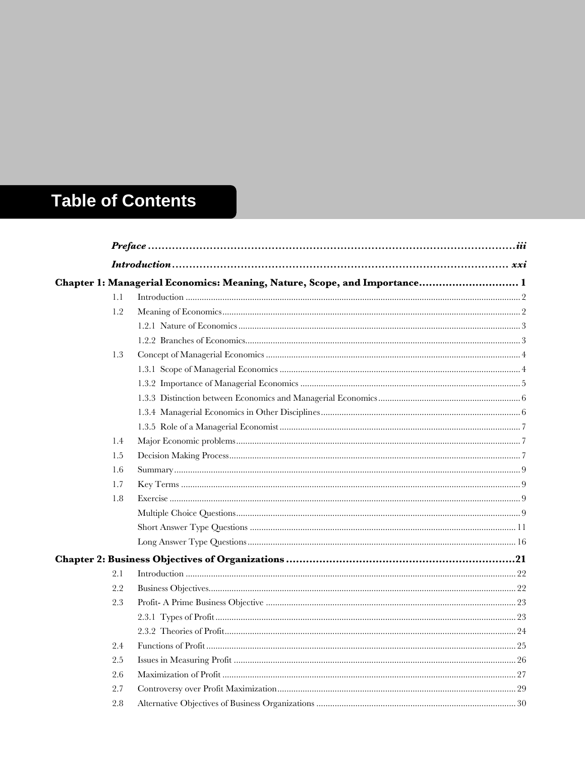## **Table of Contents**

|     | Chapter 1: Managerial Economics: Meaning, Nature, Scope, and Importance 1 |  |
|-----|---------------------------------------------------------------------------|--|
| 1.1 |                                                                           |  |
| 1.2 |                                                                           |  |
|     |                                                                           |  |
|     |                                                                           |  |
| 1.3 |                                                                           |  |
|     |                                                                           |  |
|     |                                                                           |  |
|     |                                                                           |  |
|     |                                                                           |  |
|     |                                                                           |  |
| 1.4 |                                                                           |  |
| 1.5 |                                                                           |  |
| 1.6 |                                                                           |  |
| 1.7 |                                                                           |  |
| 1.8 |                                                                           |  |
|     |                                                                           |  |
|     |                                                                           |  |
|     |                                                                           |  |
|     |                                                                           |  |
| 2.1 |                                                                           |  |
| 2.2 |                                                                           |  |
| 2.3 |                                                                           |  |
|     |                                                                           |  |
|     |                                                                           |  |
| 2.4 |                                                                           |  |
| 2.5 |                                                                           |  |
| 2.6 |                                                                           |  |
| 2.7 |                                                                           |  |
| 2.8 |                                                                           |  |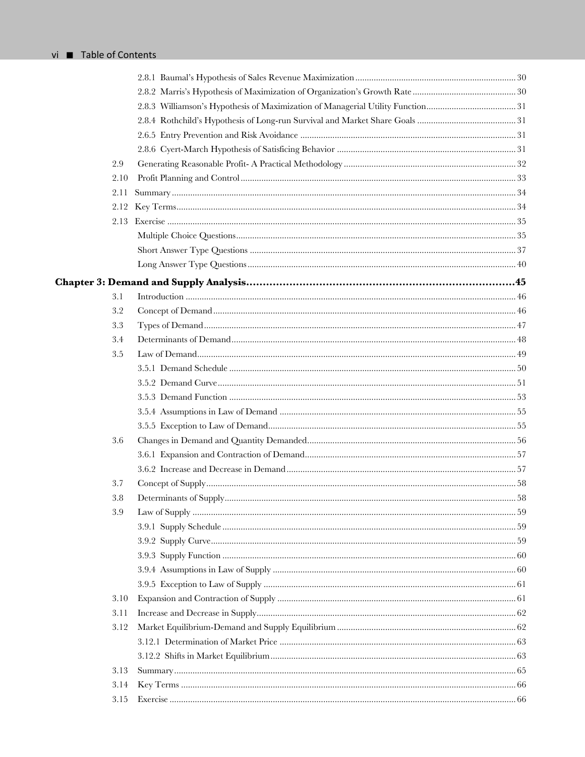| 2.9  |  |
|------|--|
| 2.10 |  |
| 2.11 |  |
| 2.12 |  |
| 2.13 |  |
|      |  |
|      |  |
|      |  |
|      |  |
| 3.1  |  |
| 3.2  |  |
| 3.3  |  |
| 3.4  |  |
| 3.5  |  |
|      |  |
|      |  |
|      |  |
|      |  |
|      |  |
| 3.6  |  |
|      |  |
|      |  |
| 3.7  |  |
| 3.8  |  |
| 3.9  |  |
|      |  |
|      |  |
|      |  |
|      |  |
|      |  |
| 3.10 |  |
| 3.11 |  |
| 3.12 |  |
|      |  |
|      |  |
| 3.13 |  |
| 3.14 |  |
| 3.15 |  |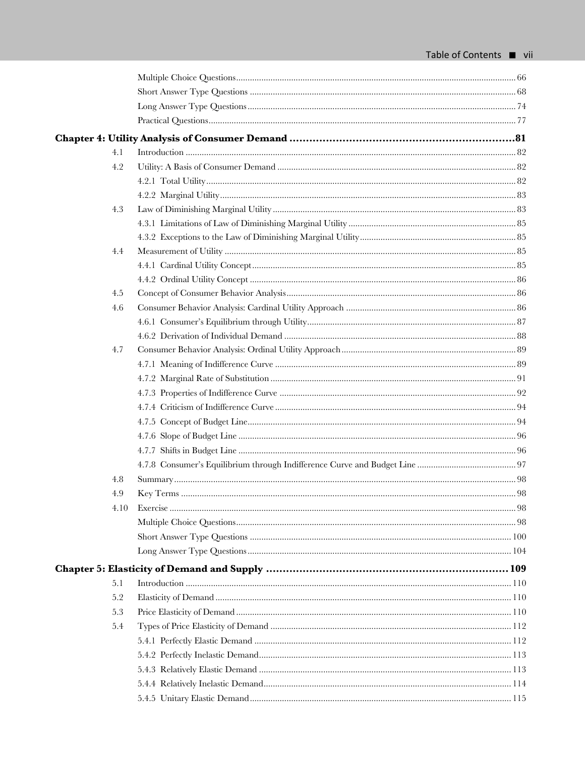| 4.1  |  |
|------|--|
| 4.2  |  |
|      |  |
|      |  |
| 4.3  |  |
|      |  |
|      |  |
| 4.4  |  |
|      |  |
|      |  |
| 4.5  |  |
| 4.6  |  |
|      |  |
|      |  |
| 4.7  |  |
|      |  |
|      |  |
|      |  |
|      |  |
|      |  |
|      |  |
|      |  |
|      |  |
| 4.8  |  |
| 4.9  |  |
| 4.10 |  |
|      |  |
|      |  |
|      |  |
|      |  |
| 5.1  |  |
| 5.2  |  |
| 5.3  |  |
| 5.4  |  |
|      |  |
|      |  |
|      |  |
|      |  |
|      |  |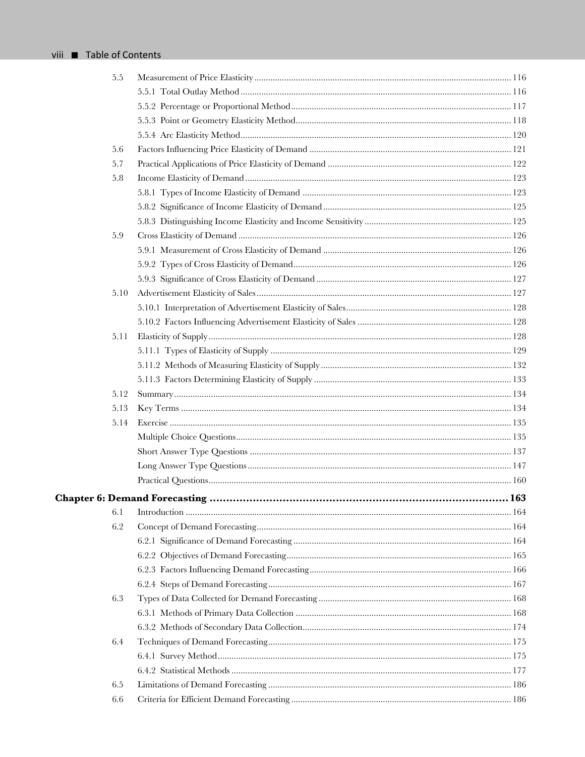| 5.5  |  |
|------|--|
|      |  |
|      |  |
|      |  |
|      |  |
| 5.6  |  |
| 5.7  |  |
| 5.8  |  |
|      |  |
|      |  |
|      |  |
| 5.9  |  |
|      |  |
|      |  |
|      |  |
| 5.10 |  |
|      |  |
|      |  |
| 5.11 |  |
|      |  |
|      |  |
|      |  |
| 5.12 |  |
| 5.13 |  |
| 5.14 |  |
|      |  |
|      |  |
|      |  |
|      |  |
|      |  |
| 6.1  |  |
| 6.2  |  |
|      |  |
|      |  |
|      |  |
|      |  |
| 6.3  |  |
|      |  |
|      |  |
| 6.4  |  |
|      |  |
|      |  |
|      |  |
| 6.5  |  |
| 6.6  |  |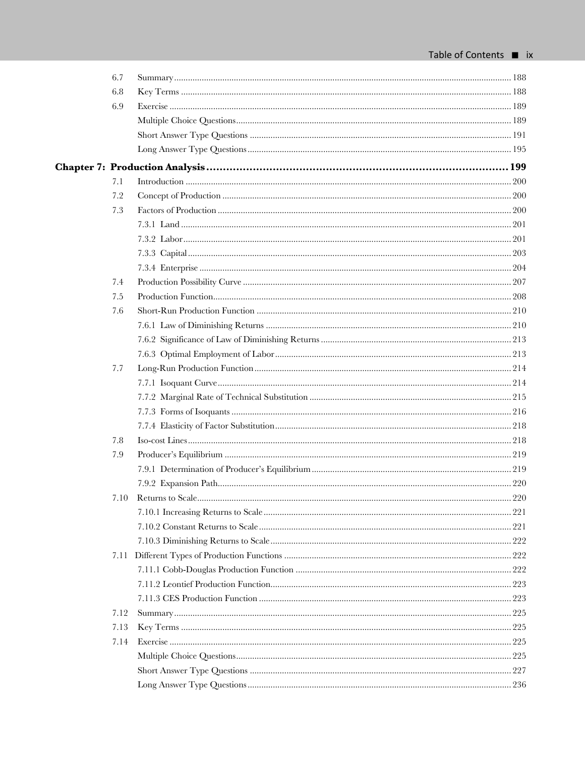| 6.7  |  |
|------|--|
| 6.8  |  |
| 6.9  |  |
|      |  |
|      |  |
|      |  |
|      |  |
| 7.1  |  |
| 7.2  |  |
| 7.3  |  |
|      |  |
|      |  |
|      |  |
|      |  |
| 7.4  |  |
| 7.5  |  |
| 7.6  |  |
|      |  |
|      |  |
|      |  |
| 7.7  |  |
|      |  |
|      |  |
|      |  |
|      |  |
| 7.8  |  |
| 7.9  |  |
|      |  |
|      |  |
| 7.10 |  |
|      |  |
|      |  |
|      |  |
|      |  |
|      |  |
|      |  |
|      |  |
| 7.12 |  |
| 7.13 |  |
| 7.14 |  |
|      |  |
|      |  |
|      |  |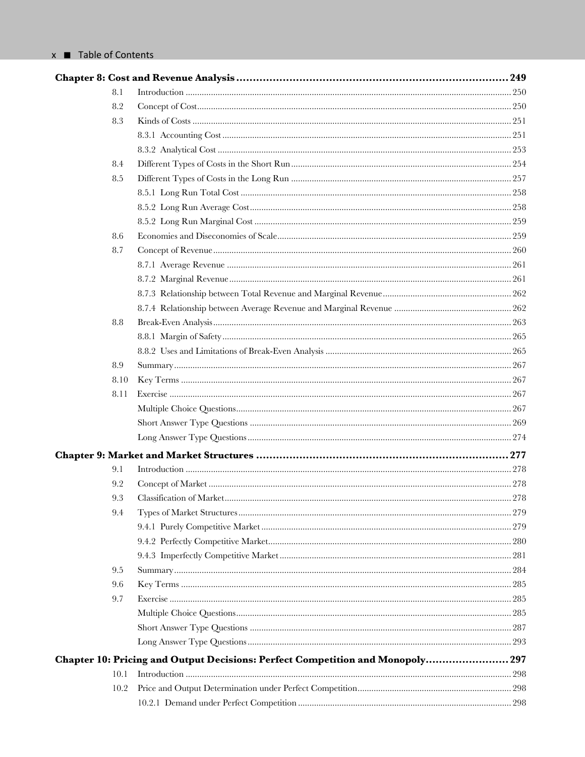|      |                                                                            | .249 |
|------|----------------------------------------------------------------------------|------|
| 8.1  |                                                                            |      |
| 8.2  |                                                                            |      |
| 8.3  |                                                                            |      |
|      |                                                                            |      |
|      |                                                                            |      |
| 8.4  |                                                                            |      |
| 8.5  |                                                                            |      |
|      |                                                                            |      |
|      |                                                                            |      |
|      |                                                                            |      |
| 8.6  |                                                                            |      |
| 8.7  |                                                                            |      |
|      |                                                                            |      |
|      |                                                                            |      |
|      |                                                                            |      |
|      |                                                                            |      |
| 8.8  |                                                                            |      |
|      |                                                                            |      |
|      |                                                                            |      |
| 8.9  |                                                                            |      |
| 8.10 |                                                                            |      |
| 8.11 |                                                                            |      |
|      |                                                                            |      |
|      |                                                                            |      |
|      |                                                                            |      |
|      |                                                                            |      |
| 9.1  |                                                                            |      |
| 9.2  |                                                                            |      |
| 9.3  | Classification of Market                                                   | 278  |
| 9.4  |                                                                            |      |
|      |                                                                            |      |
|      |                                                                            |      |
|      |                                                                            |      |
| 9.5  |                                                                            |      |
| 9.6  |                                                                            |      |
| 9.7  |                                                                            |      |
|      |                                                                            |      |
|      |                                                                            |      |
|      |                                                                            |      |
|      | Chapter 10: Pricing and Output Decisions: Perfect Competition and Monopoly | 297  |
| 10.1 |                                                                            |      |
| 10.2 |                                                                            |      |
|      |                                                                            |      |
|      |                                                                            |      |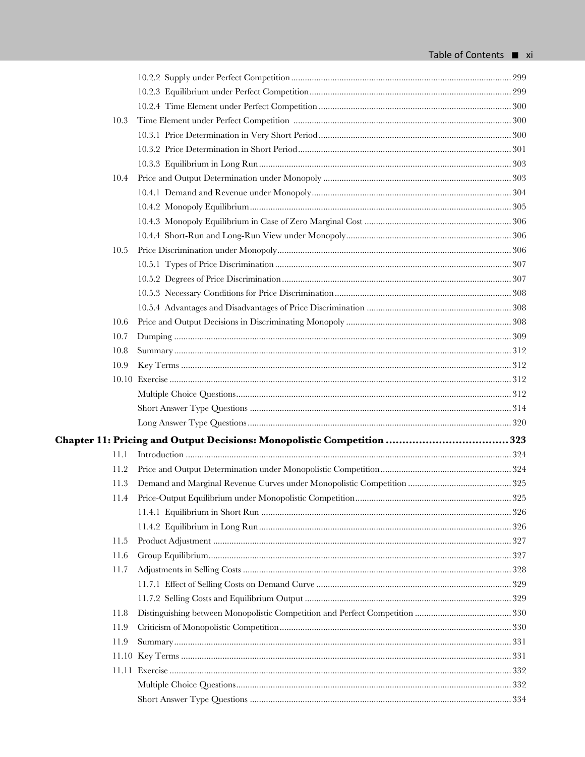| 10.3 |                                                                        |  |
|------|------------------------------------------------------------------------|--|
|      |                                                                        |  |
|      |                                                                        |  |
|      |                                                                        |  |
| 10.4 |                                                                        |  |
|      |                                                                        |  |
|      |                                                                        |  |
|      |                                                                        |  |
|      |                                                                        |  |
| 10.5 |                                                                        |  |
|      |                                                                        |  |
|      |                                                                        |  |
|      |                                                                        |  |
|      |                                                                        |  |
| 10.6 |                                                                        |  |
| 10.7 |                                                                        |  |
| 10.8 |                                                                        |  |
| 10.9 |                                                                        |  |
|      |                                                                        |  |
|      |                                                                        |  |
|      |                                                                        |  |
|      |                                                                        |  |
|      | Chapter 11: Pricing and Output Decisions: Monopolistic Competition 323 |  |
| 11.1 |                                                                        |  |
| 11.2 |                                                                        |  |
| 11.3 |                                                                        |  |
|      |                                                                        |  |
|      |                                                                        |  |
|      |                                                                        |  |
| 11.5 |                                                                        |  |
| 11.6 |                                                                        |  |
| 11.7 |                                                                        |  |
|      |                                                                        |  |
|      |                                                                        |  |
| 11.8 |                                                                        |  |
| 11.9 |                                                                        |  |
| 11.9 |                                                                        |  |
|      |                                                                        |  |
|      |                                                                        |  |
|      |                                                                        |  |
|      |                                                                        |  |
|      |                                                                        |  |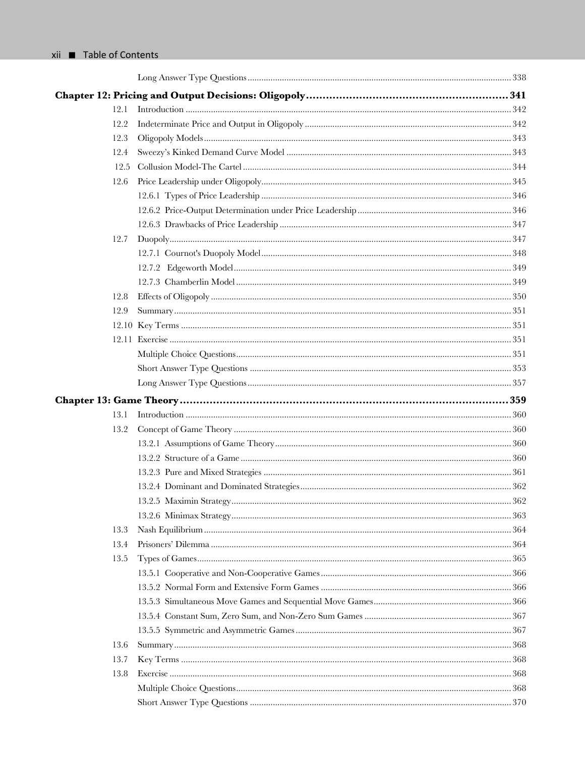| 12.1 |  |
|------|--|
| 12.2 |  |
| 12.3 |  |
| 12.4 |  |
| 12.5 |  |
| 12.6 |  |
|      |  |
|      |  |
|      |  |
| 12.7 |  |
|      |  |
|      |  |
|      |  |
| 12.8 |  |
| 12.9 |  |
|      |  |
|      |  |
|      |  |
|      |  |
|      |  |
|      |  |
| 13.1 |  |
| 13.2 |  |
|      |  |
|      |  |
|      |  |
|      |  |
|      |  |
|      |  |
|      |  |
| 13.3 |  |
| 13.4 |  |
| 13.5 |  |
|      |  |
|      |  |
|      |  |
|      |  |
|      |  |
| 13.6 |  |
| 13.7 |  |
| 13.8 |  |
|      |  |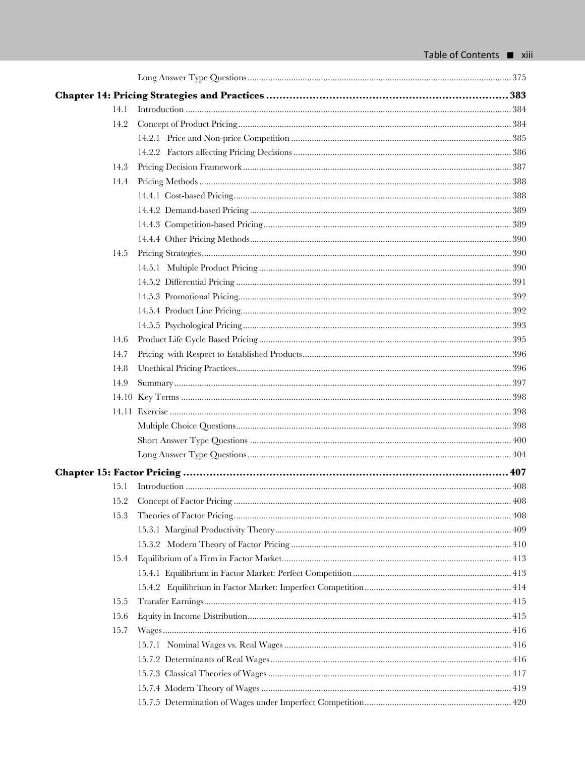| 14.1 |  |
|------|--|
| 14.2 |  |
|      |  |
|      |  |
| 14.3 |  |
| 14.4 |  |
|      |  |
|      |  |
|      |  |
|      |  |
| 14.5 |  |
|      |  |
|      |  |
|      |  |
|      |  |
|      |  |
| 14.6 |  |
| 14.7 |  |
| 14.8 |  |
| 14.9 |  |
|      |  |
|      |  |
|      |  |
|      |  |
|      |  |
|      |  |
| 15.1 |  |
|      |  |
| 15.3 |  |
|      |  |
|      |  |
| 15.4 |  |
|      |  |
|      |  |
| 15.5 |  |
| 15.6 |  |
| 15.7 |  |
|      |  |
|      |  |
|      |  |
|      |  |
|      |  |
|      |  |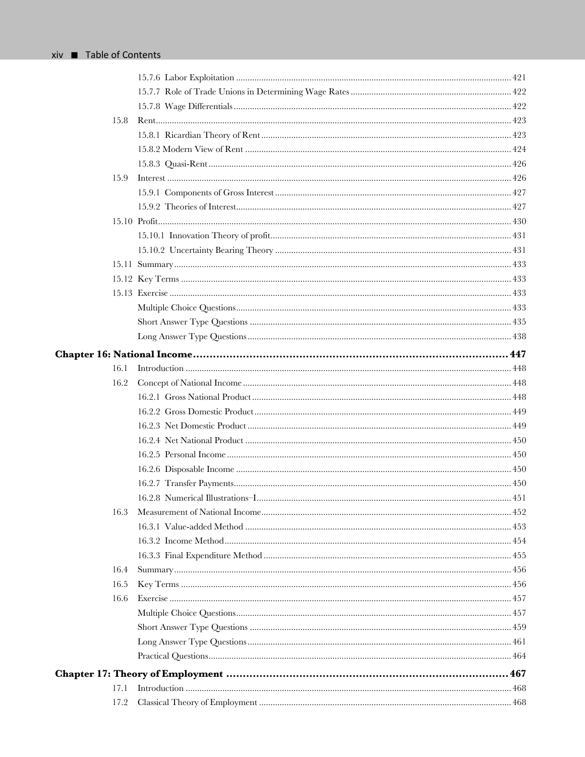| 15.8 |  |
|------|--|
|      |  |
|      |  |
|      |  |
| 15.9 |  |
|      |  |
|      |  |
|      |  |
|      |  |
|      |  |
|      |  |
|      |  |
|      |  |
|      |  |
|      |  |
|      |  |
|      |  |
| 16.1 |  |
| 16.2 |  |
|      |  |
|      |  |
|      |  |
|      |  |
|      |  |
|      |  |
|      |  |
|      |  |
| 16.3 |  |
|      |  |
|      |  |
|      |  |
| 16.4 |  |
| 16.5 |  |
| 16.6 |  |
|      |  |
|      |  |
|      |  |
|      |  |
|      |  |
| 17.1 |  |
| 17.2 |  |
|      |  |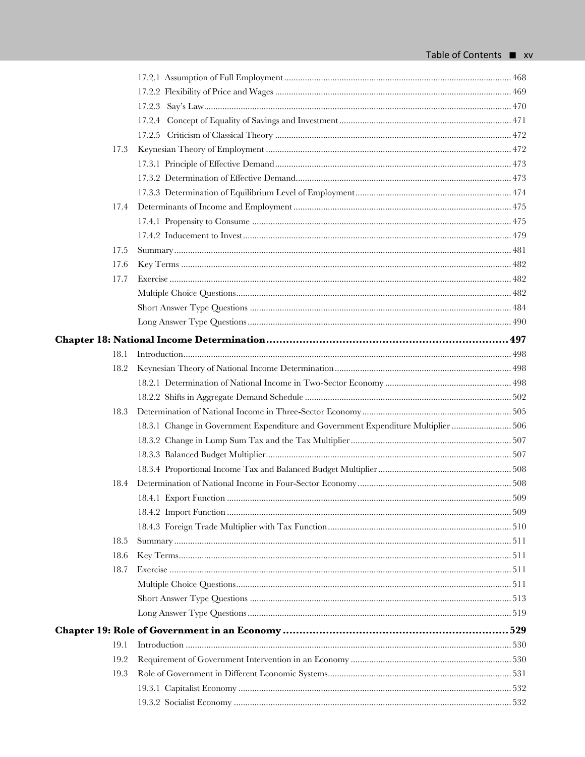| 17.3 |                                                                                    |  |
|------|------------------------------------------------------------------------------------|--|
|      |                                                                                    |  |
|      |                                                                                    |  |
|      |                                                                                    |  |
| 17.4 |                                                                                    |  |
|      |                                                                                    |  |
|      |                                                                                    |  |
| 17.5 |                                                                                    |  |
| 17.6 |                                                                                    |  |
| 17.7 |                                                                                    |  |
|      |                                                                                    |  |
|      |                                                                                    |  |
|      |                                                                                    |  |
|      |                                                                                    |  |
| 18.1 |                                                                                    |  |
| 18.2 |                                                                                    |  |
|      |                                                                                    |  |
|      |                                                                                    |  |
| 18.3 |                                                                                    |  |
|      | 18.3.1 Change in Government Expenditure and Government Expenditure Multiplier  506 |  |
|      |                                                                                    |  |
|      |                                                                                    |  |
|      |                                                                                    |  |
| 18.4 |                                                                                    |  |
|      |                                                                                    |  |
|      |                                                                                    |  |
|      |                                                                                    |  |
| 18.5 |                                                                                    |  |
| 18.6 |                                                                                    |  |
| 18.7 |                                                                                    |  |
|      |                                                                                    |  |
|      |                                                                                    |  |
|      |                                                                                    |  |
|      |                                                                                    |  |
| 19.1 |                                                                                    |  |
| 19.2 |                                                                                    |  |
| 19.3 |                                                                                    |  |
|      |                                                                                    |  |
|      |                                                                                    |  |
|      |                                                                                    |  |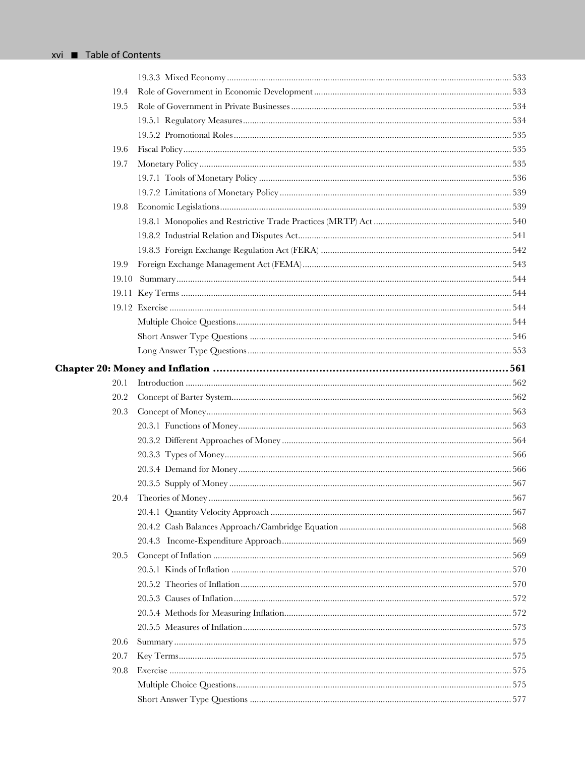| 19.4 |  |
|------|--|
| 19.5 |  |
|      |  |
|      |  |
| 19.6 |  |
| 19.7 |  |
|      |  |
|      |  |
| 19.8 |  |
|      |  |
|      |  |
|      |  |
| 19.9 |  |
|      |  |
|      |  |
|      |  |
|      |  |
|      |  |
|      |  |
|      |  |
| 20.1 |  |
| 20.2 |  |
| 20.3 |  |
|      |  |
|      |  |
|      |  |
|      |  |
|      |  |
|      |  |
|      |  |
|      |  |
|      |  |
| 20.5 |  |
|      |  |
|      |  |
|      |  |
|      |  |
|      |  |
| 20.6 |  |
| 20.7 |  |
| 20.8 |  |
|      |  |
|      |  |
|      |  |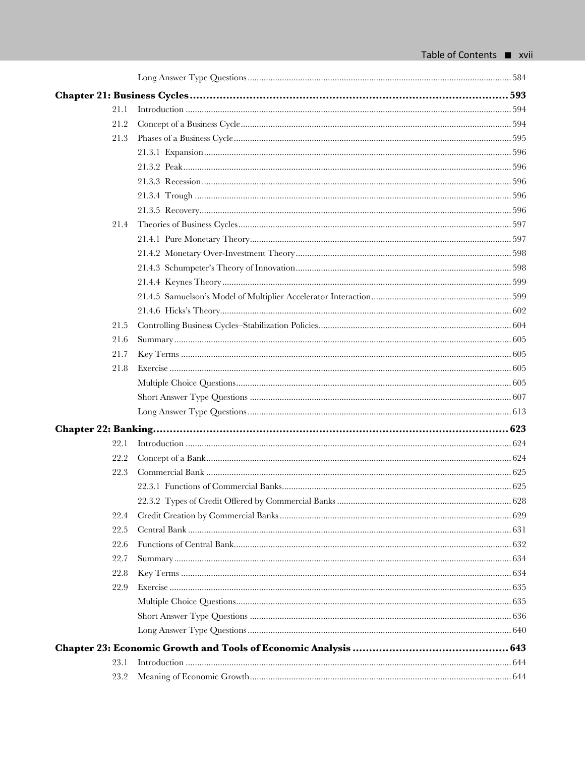| 21.1 |  |
|------|--|
| 21.2 |  |
| 21.3 |  |
|      |  |
|      |  |
|      |  |
|      |  |
|      |  |
| 21.4 |  |
|      |  |
|      |  |
|      |  |
|      |  |
|      |  |
|      |  |
| 21.5 |  |
| 21.6 |  |
| 21.7 |  |
| 21.8 |  |
|      |  |
|      |  |
|      |  |
|      |  |
| 22.1 |  |
| 22.2 |  |
| 22.3 |  |
|      |  |
|      |  |
| 22.4 |  |
| 22.5 |  |
| 22.6 |  |
| 22.7 |  |
| 22.8 |  |
| 22.9 |  |
|      |  |
|      |  |
|      |  |
|      |  |
| 23.1 |  |
| 23.2 |  |
|      |  |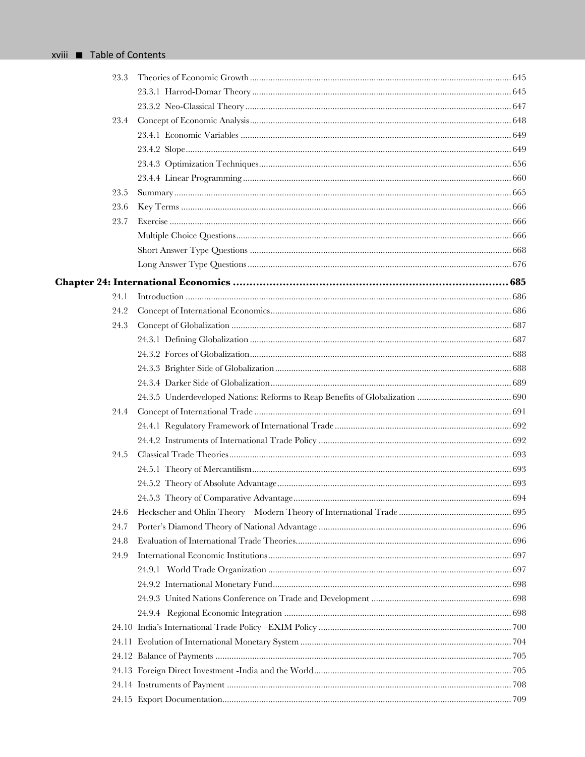| 23.3 |  |
|------|--|
|      |  |
|      |  |
| 23.4 |  |
|      |  |
|      |  |
|      |  |
|      |  |
| 23.5 |  |
| 23.6 |  |
| 23.7 |  |
|      |  |
|      |  |
|      |  |
|      |  |
| 24.1 |  |
| 24.2 |  |
| 24.3 |  |
|      |  |
|      |  |
|      |  |
|      |  |
|      |  |
| 24.4 |  |
|      |  |
|      |  |
| 24.5 |  |
|      |  |
|      |  |
|      |  |
| 24.6 |  |
| 24.7 |  |
| 24.8 |  |
| 24.9 |  |
|      |  |
|      |  |
|      |  |
|      |  |
|      |  |
|      |  |
|      |  |
|      |  |
|      |  |
|      |  |
|      |  |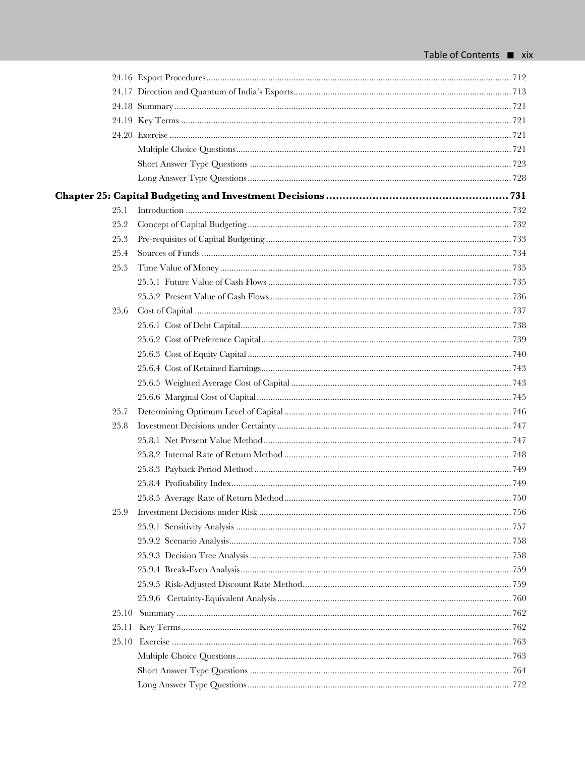| 25.1 |  |
|------|--|
| 25.2 |  |
| 25.3 |  |
| 25.4 |  |
| 25.5 |  |
|      |  |
|      |  |
| 25.6 |  |
|      |  |
|      |  |
|      |  |
|      |  |
|      |  |
|      |  |
| 25.7 |  |
| 25.8 |  |
|      |  |
|      |  |
|      |  |
|      |  |
|      |  |
| 25.9 |  |
|      |  |
|      |  |
|      |  |
|      |  |
|      |  |
|      |  |
|      |  |
|      |  |
|      |  |
|      |  |
|      |  |
|      |  |